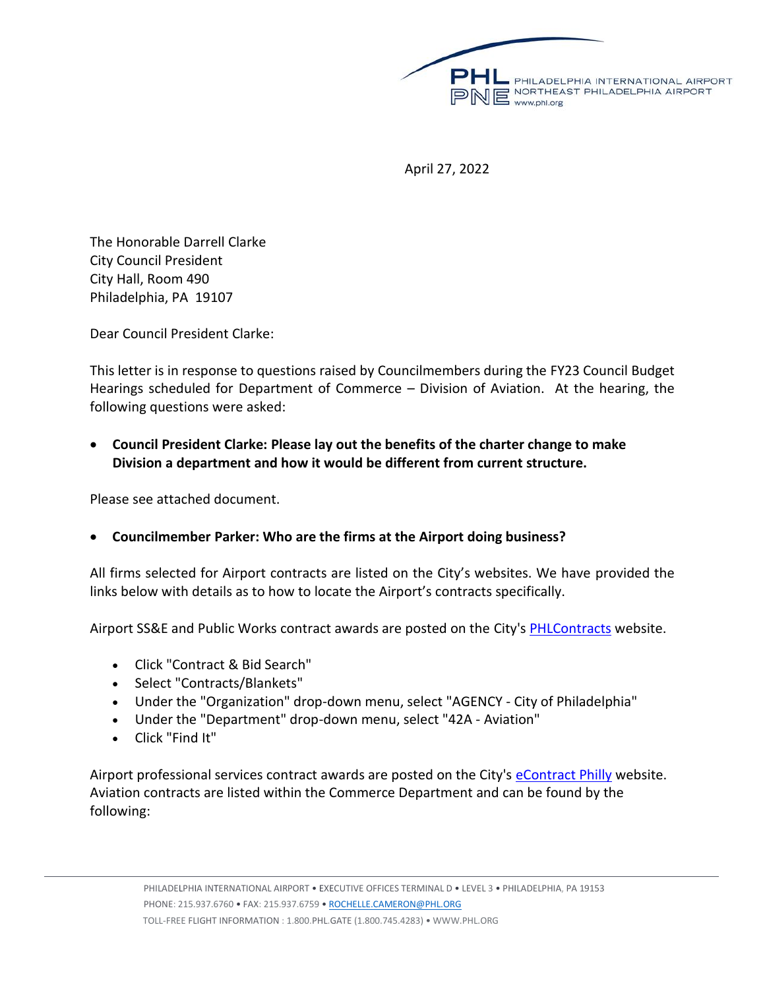

April 27, 2022

The Honorable Darrell Clarke City Council President City Hall, Room 490 Philadelphia, PA 19107

Dear Council President Clarke:

This letter is in response to questions raised by Councilmembers during the FY23 Council Budget Hearings scheduled for Department of Commerce – Division of Aviation. At the hearing, the following questions were asked:

• **Council President Clarke: Please lay out the benefits of the charter change to make Division a department and how it would be different from current structure.**

Please see attached document.

# • **Councilmember Parker: Who are the firms at the Airport doing business?**

All firms selected for Airport contracts are listed on the City's websites. We have provided the links below with details as to how to locate the Airport's contracts specifically.

Airport SS&E and Public Works contract awards are posted on the City's **PHLContracts** website.

- Click "Contract & Bid Search"
- Select "Contracts/Blankets"
- Under the "Organization" drop-down menu, select "AGENCY City of Philadelphia"
- Under the "Department" drop-down menu, select "42A Aviation"
- Click "Find It"

Airport professional services contract awards are posted on the City's [eContract Philly](https://gcc02.safelinks.protection.outlook.com/?url=https%3A%2F%2Fphilawx.phila.gov%2F%2FECONTRACT%2Fdefault.aspx&data=05%7C01%7CDeatrice.Isaac%40phl.org%7Cd579f9859d684bac3d8008da23c48395%7C2182f890679042acab9758afd4eb2b6d%7C0%7C0%7C637861624168064465%7CUnknown%7CTWFpbGZsb3d8eyJWIjoiMC4wLjAwMDAiLCJQIjoiV2luMzIiLCJBTiI6Ik1haWwiLCJXVCI6Mn0%3D%7C3000%7C%7C%7C&sdata=ptJidN9y0NFcjMSU32oG0%2F90k%2BctLd2NHQSiBCeSaww%3D&reserved=0) website. Aviation contracts are listed within the Commerce Department and can be found by the following: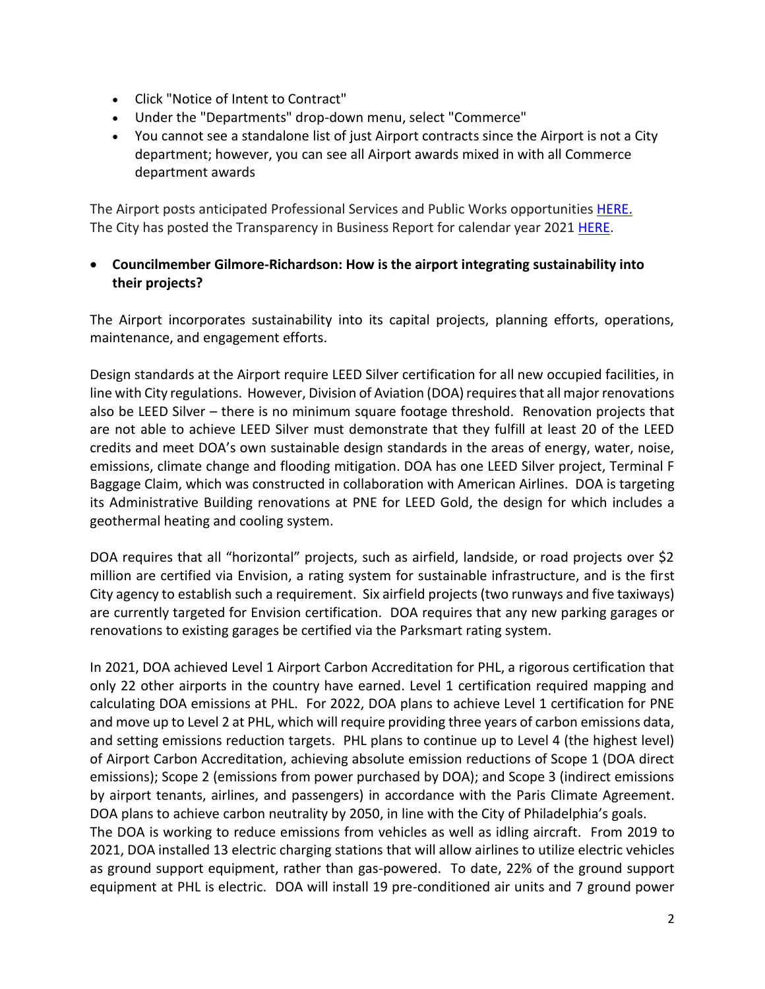- Click "Notice of Intent to Contract"
- Under the "Departments" drop-down menu, select "Commerce"
- You cannot see a standalone list of just Airport contracts since the Airport is not a City department; however, you can see all Airport awards mixed in with all Commerce department awards

The Airport posts anticipated Professional Services and Public Works opportunitie[s HERE.](https://gcc02.safelinks.protection.outlook.com/?url=https%3A%2F%2Fwww.phl.org%2Fabout%2Fcdp%2Fopportunities&data=05%7C01%7CDeatrice.Isaac%40phl.org%7Cd579f9859d684bac3d8008da23c48395%7C2182f890679042acab9758afd4eb2b6d%7C0%7C0%7C637861624168064465%7CUnknown%7CTWFpbGZsb3d8eyJWIjoiMC4wLjAwMDAiLCJQIjoiV2luMzIiLCJBTiI6Ik1haWwiLCJXVCI6Mn0%3D%7C3000%7C%7C%7C&sdata=9SU%2FbChORxsOQvekSGr9zWlw21eyvoKLeMwyhcH6xA8%3D&reserved=0) The City has posted the Transparency in Business Report for calendar year 2021 [HERE.](https://gcc02.safelinks.protection.outlook.com/?url=https%3A%2F%2Fwww.phila.gov%2Fmedia%2F20220329145432%2FTransparency-in-Business-Report_CY2021_Final.pdf&data=05%7C01%7CDeatrice.Isaac%40phl.org%7Cd579f9859d684bac3d8008da23c48395%7C2182f890679042acab9758afd4eb2b6d%7C0%7C0%7C637861624168064465%7CUnknown%7CTWFpbGZsb3d8eyJWIjoiMC4wLjAwMDAiLCJQIjoiV2luMzIiLCJBTiI6Ik1haWwiLCJXVCI6Mn0%3D%7C3000%7C%7C%7C&sdata=Ex9kTM75mCvMg2MEwogjzTMIGBM%2BQghWZpOEi4%2FI7xg%3D&reserved=0)

• **Councilmember Gilmore-Richardson: How is the airport integrating sustainability into their projects?**

The Airport incorporates sustainability into its capital projects, planning efforts, operations, maintenance, and engagement efforts.

Design standards at the Airport require LEED Silver certification for all new occupied facilities, in line with City regulations. However, Division of Aviation (DOA) requires that all major renovations also be LEED Silver – there is no minimum square footage threshold. Renovation projects that are not able to achieve LEED Silver must demonstrate that they fulfill at least 20 of the LEED credits and meet DOA's own sustainable design standards in the areas of energy, water, noise, emissions, climate change and flooding mitigation. DOA has one LEED Silver project, Terminal F Baggage Claim, which was constructed in collaboration with American Airlines. DOA is targeting its Administrative Building renovations at PNE for LEED Gold, the design for which includes a geothermal heating and cooling system.

DOA requires that all "horizontal" projects, such as airfield, landside, or road projects over \$2 million are certified via Envision, a rating system for sustainable infrastructure, and is the first City agency to establish such a requirement. Six airfield projects (two runways and five taxiways) are currently targeted for Envision certification. DOA requires that any new parking garages or renovations to existing garages be certified via the Parksmart rating system.

In 2021, DOA achieved Level 1 Airport Carbon Accreditation for PHL, a rigorous certification that only 22 other airports in the country have earned. Level 1 certification required mapping and calculating DOA emissions at PHL. For 2022, DOA plans to achieve Level 1 certification for PNE and move up to Level 2 at PHL, which will require providing three years of carbon emissions data, and setting emissions reduction targets. PHL plans to continue up to Level 4 (the highest level) of Airport Carbon Accreditation, achieving absolute emission reductions of Scope 1 (DOA direct emissions); Scope 2 (emissions from power purchased by DOA); and Scope 3 (indirect emissions by airport tenants, airlines, and passengers) in accordance with the Paris Climate Agreement. DOA plans to achieve carbon neutrality by 2050, in line with the City of Philadelphia's goals.

The DOA is working to reduce emissions from vehicles as well as idling aircraft. From 2019 to 2021, DOA installed 13 electric charging stations that will allow airlines to utilize electric vehicles as ground support equipment, rather than gas-powered. To date, 22% of the ground support equipment at PHL is electric. DOA will install 19 pre-conditioned air units and 7 ground power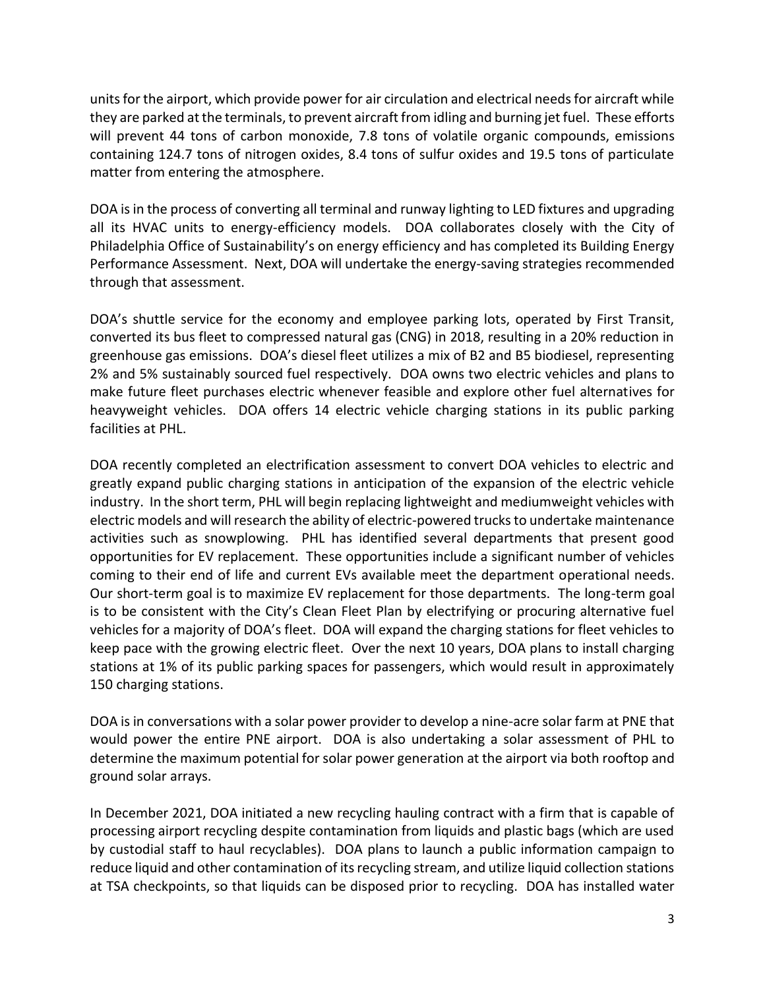units for the airport, which provide power for air circulation and electrical needs for aircraft while they are parked at the terminals, to prevent aircraft from idling and burning jet fuel. These efforts will prevent 44 tons of carbon monoxide, 7.8 tons of volatile organic compounds, emissions containing 124.7 tons of nitrogen oxides, 8.4 tons of sulfur oxides and 19.5 tons of particulate matter from entering the atmosphere.

DOA is in the process of converting all terminal and runway lighting to LED fixtures and upgrading all its HVAC units to energy-efficiency models. DOA collaborates closely with the City of Philadelphia Office of Sustainability's on energy efficiency and has completed its Building Energy Performance Assessment. Next, DOA will undertake the energy-saving strategies recommended through that assessment.

DOA's shuttle service for the economy and employee parking lots, operated by First Transit, converted its bus fleet to compressed natural gas (CNG) in 2018, resulting in a 20% reduction in greenhouse gas emissions. DOA's diesel fleet utilizes a mix of B2 and B5 biodiesel, representing 2% and 5% sustainably sourced fuel respectively. DOA owns two electric vehicles and plans to make future fleet purchases electric whenever feasible and explore other fuel alternatives for heavyweight vehicles. DOA offers 14 electric vehicle charging stations in its public parking facilities at PHL.

DOA recently completed an electrification assessment to convert DOA vehicles to electric and greatly expand public charging stations in anticipation of the expansion of the electric vehicle industry. In the short term, PHL will begin replacing lightweight and mediumweight vehicles with electric models and will research the ability of electric-powered trucks to undertake maintenance activities such as snowplowing. PHL has identified several departments that present good opportunities for EV replacement. These opportunities include a significant number of vehicles coming to their end of life and current EVs available meet the department operational needs. Our short-term goal is to maximize EV replacement for those departments. The long-term goal is to be consistent with the City's Clean Fleet Plan by electrifying or procuring alternative fuel vehicles for a majority of DOA's fleet. DOA will expand the charging stations for fleet vehicles to keep pace with the growing electric fleet. Over the next 10 years, DOA plans to install charging stations at 1% of its public parking spaces for passengers, which would result in approximately 150 charging stations.

DOA is in conversations with a solar power provider to develop a nine-acre solar farm at PNE that would power the entire PNE airport. DOA is also undertaking a solar assessment of PHL to determine the maximum potential for solar power generation at the airport via both rooftop and ground solar arrays.

In December 2021, DOA initiated a new recycling hauling contract with a firm that is capable of processing airport recycling despite contamination from liquids and plastic bags (which are used by custodial staff to haul recyclables). DOA plans to launch a public information campaign to reduce liquid and other contamination of its recycling stream, and utilize liquid collection stations at TSA checkpoints, so that liquids can be disposed prior to recycling. DOA has installed water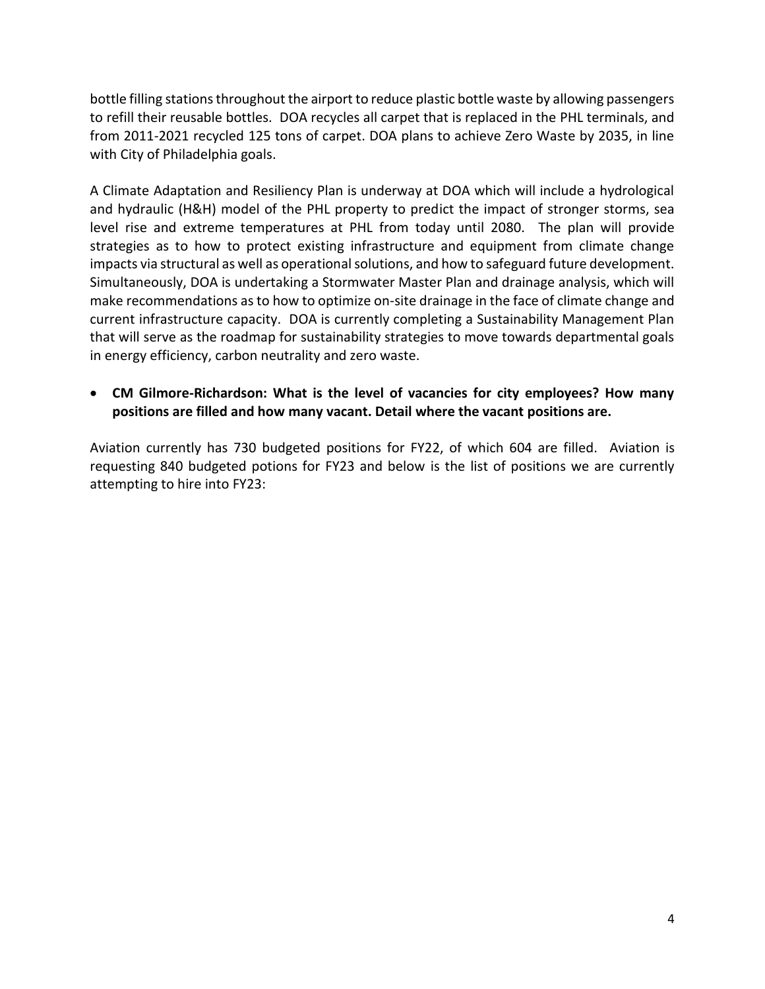bottle filling stations throughout the airport to reduce plastic bottle waste by allowing passengers to refill their reusable bottles. DOA recycles all carpet that is replaced in the PHL terminals, and from 2011-2021 recycled 125 tons of carpet. DOA plans to achieve Zero Waste by 2035, in line with City of Philadelphia goals.

A Climate Adaptation and Resiliency Plan is underway at DOA which will include a hydrological and hydraulic (H&H) model of the PHL property to predict the impact of stronger storms, sea level rise and extreme temperatures at PHL from today until 2080. The plan will provide strategies as to how to protect existing infrastructure and equipment from climate change impacts via structural as well as operational solutions, and how to safeguard future development. Simultaneously, DOA is undertaking a Stormwater Master Plan and drainage analysis, which will make recommendations as to how to optimize on-site drainage in the face of climate change and current infrastructure capacity. DOA is currently completing a Sustainability Management Plan that will serve as the roadmap for sustainability strategies to move towards departmental goals in energy efficiency, carbon neutrality and zero waste.

## • **CM Gilmore-Richardson: What is the level of vacancies for city employees? How many positions are filled and how many vacant. Detail where the vacant positions are.**

Aviation currently has 730 budgeted positions for FY22, of which 604 are filled. Aviation is requesting 840 budgeted potions for FY23 and below is the list of positions we are currently attempting to hire into FY23: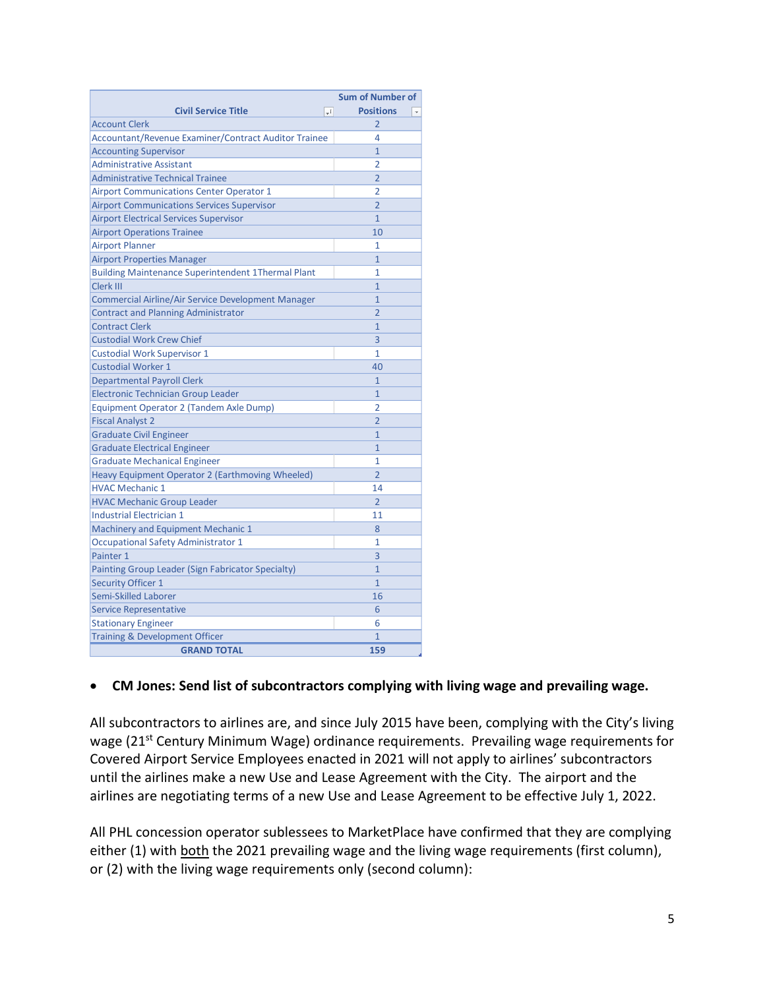|                                                             | <b>Sum of Number of</b>  |
|-------------------------------------------------------------|--------------------------|
| <b>Civil Service Title</b><br>$-1$                          | <b>Positions</b>         |
| <b>Account Clerk</b>                                        | $\overline{2}$           |
| <b>Accountant/Revenue Examiner/Contract Auditor Trainee</b> | 4                        |
| <b>Accounting Supervisor</b>                                | $\mathbf{1}$             |
| <b>Administrative Assistant</b>                             | $\overline{2}$           |
| <b>Administrative Technical Trainee</b>                     | $\overline{2}$           |
| <b>Airport Communications Center Operator 1</b>             | 2                        |
| <b>Airport Communications Services Supervisor</b>           | $\overline{2}$           |
| <b>Airport Electrical Services Supervisor</b>               | $\mathbf{1}$             |
| <b>Airport Operations Trainee</b>                           | 10                       |
| <b>Airport Planner</b>                                      | 1                        |
| <b>Airport Properties Manager</b>                           | $\overline{1}$           |
| <b>Building Maintenance Superintendent 1Thermal Plant</b>   | 1                        |
| Clerk III                                                   | $\overline{1}$           |
| <b>Commercial Airline/Air Service Development Manager</b>   | $\mathbf{1}$             |
| <b>Contract and Planning Administrator</b>                  | $\overline{2}$           |
| <b>Contract Clerk</b>                                       | $\overline{1}$           |
| <b>Custodial Work Crew Chief</b>                            | $\overline{3}$           |
| <b>Custodial Work Supervisor 1</b>                          | 1                        |
| <b>Custodial Worker 1</b>                                   | 40                       |
| <b>Departmental Payroll Clerk</b>                           | 1                        |
| <b>Electronic Technician Group Leader</b>                   | $\mathbf{1}$             |
| Equipment Operator 2 (Tandem Axle Dump)                     | $\overline{2}$           |
| <b>Fiscal Analyst 2</b>                                     | $\overline{2}$           |
| <b>Graduate Civil Engineer</b>                              | $\mathbf{1}$             |
| <b>Graduate Electrical Engineer</b>                         | $\overline{1}$           |
| <b>Graduate Mechanical Engineer</b>                         | 1                        |
| Heavy Equipment Operator 2 (Earthmoving Wheeled)            | $\overline{\phantom{a}}$ |
| <b>HVAC Mechanic 1</b>                                      | 14                       |
| <b>HVAC Mechanic Group Leader</b>                           | $\overline{\mathcal{L}}$ |
| <b>Industrial Electrician 1</b>                             | 11                       |
| Machinery and Equipment Mechanic 1                          | 8                        |
| <b>Occupational Safety Administrator 1</b>                  | 1                        |
| Painter 1                                                   | 3                        |
| Painting Group Leader (Sign Fabricator Specialty)           | $\mathbf{1}$             |
| <b>Security Officer 1</b>                                   | $\mathbf{1}$             |
| Semi-Skilled Laborer                                        | 16                       |
| <b>Service Representative</b>                               | 6                        |
| <b>Stationary Engineer</b>                                  | 6                        |
| <b>Training &amp; Development Officer</b>                   | $\overline{1}$           |
| <b>GRAND TOTAL</b>                                          | 159                      |

# • **CM Jones: Send list of subcontractors complying with living wage and prevailing wage.**

All subcontractors to airlines are, and since July 2015 have been, complying with the City's living wage (21<sup>st</sup> Century Minimum Wage) ordinance requirements. Prevailing wage requirements for Covered Airport Service Employees enacted in 2021 will not apply to airlines' subcontractors until the airlines make a new Use and Lease Agreement with the City. The airport and the airlines are negotiating terms of a new Use and Lease Agreement to be effective July 1, 2022.

All PHL concession operator sublessees to MarketPlace have confirmed that they are complying either (1) with both the 2021 prevailing wage and the living wage requirements (first column), or (2) with the living wage requirements only (second column):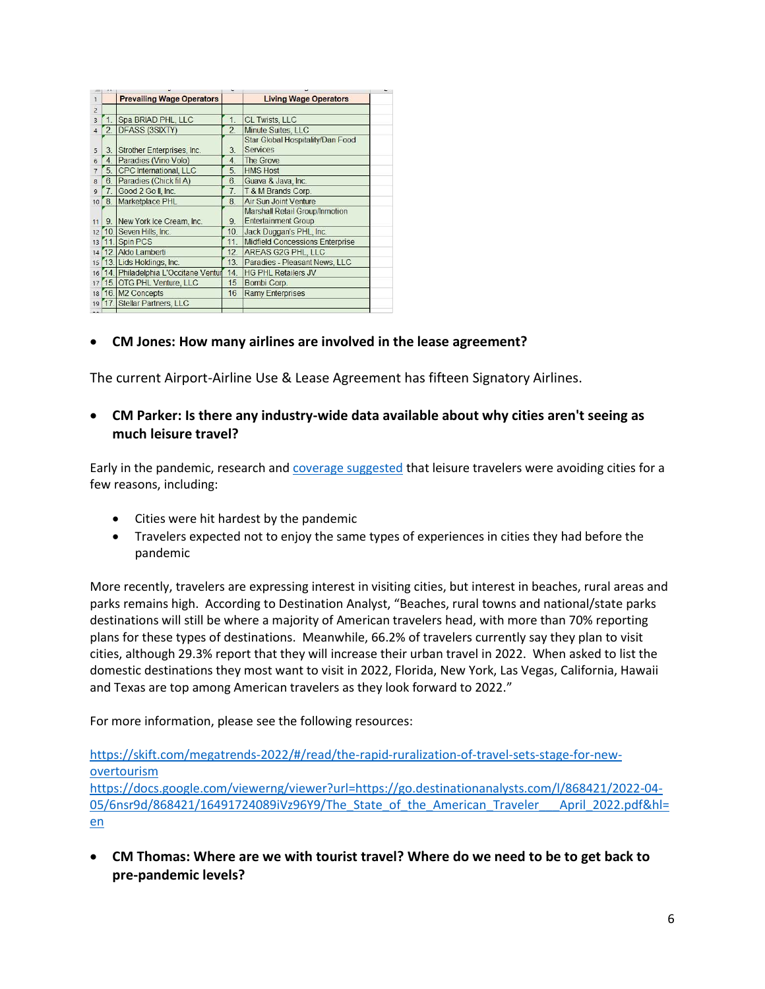|                |                 | <b>Prevailing Wage Operators</b>      |                  | <b>Living Wage Operators</b>                        |
|----------------|-----------------|---------------------------------------|------------------|-----------------------------------------------------|
| $\overline{a}$ |                 |                                       |                  |                                                     |
| $\overline{3}$ |                 | Spa BRIAD PHL, LLC                    | 1                | <b>CL Twists, LLC</b>                               |
| 4              | 2.              | <b>DFASS (3SIXTY)</b>                 | $\overline{2}$   | Minute Suites, LLC                                  |
| 5              | 3.              | Strother Enterprises, Inc.            | 3.               | Star Global Hospitality/Dan Food<br><b>Services</b> |
| $\overline{6}$ | 4.              | Paradies (Vino Volo)                  | 4.               | The Grove                                           |
| $\overline{7}$ | 5.              | <b>CPC</b> International, LLC         | 5.               | <b>HMS Host</b>                                     |
| 8              | 6.              | Paradies (Chick fil A)                | 6.               | Guava & Java, Inc.                                  |
| $\overline{q}$ | 7 <sub>1</sub>  | Good 2 Go II, Inc.                    | 7 <sub>1</sub>   | T & M Brands Corp.                                  |
|                | 10 <sup>2</sup> | Marketplace PHL                       | 8                | <b>Air Sun Joint Venture</b>                        |
|                |                 |                                       |                  | Marshall Retail Group/Inmotion                      |
| 11             |                 | 9. New York Ice Cream, Inc.           | 9.               | <b>Entertainment Group</b>                          |
|                |                 | 12 10. Seven Hills, Inc.              | 10.              | Jack Duggan's PHL, Inc.                             |
|                | 13 11.          | Spin PCS                              | 11               | <b>Midfield Concessions Enterprise</b>              |
|                |                 | 14 12. Aldo Lamberti                  | 12.              | AREAS G2G PHL, LLC                                  |
|                |                 | 15 13. Lids Holdings, Inc.            | 13.              | Paradies - Pleasant News, LLC                       |
|                |                 | 16 14. Philadelphia L'Occitane Ventur | 14.              | <b>HG PHL Retailers JV</b>                          |
|                |                 | 17 15. OTG PHL Venture, LLC           | 15 <sub>15</sub> | Bombi Corp.                                         |
|                |                 | 18 16. M2 Concepts                    | 16               | <b>Ramy Enterprises</b>                             |
|                |                 | 19 17. Stellar Partners, LLC          |                  |                                                     |
|                |                 |                                       |                  |                                                     |

## • **CM Jones: How many airlines are involved in the lease agreement?**

The current Airport-Airline Use & Lease Agreement has fifteen Signatory Airlines.

### • **CM Parker: Is there any industry-wide data available about why cities aren't seeing as much leisure travel?**

Early in the pandemic, research and [coverage suggested](https://www.cnn.com/travel/article/remote-rural-vacation-better-than-city-vacation-covid/index.html) that leisure travelers were avoiding cities for a few reasons, including:

- Cities were hit hardest by the pandemic
- Travelers expected not to enjoy the same types of experiences in cities they had before the pandemic

More recently, travelers are expressing interest in visiting cities, but interest in beaches, rural areas and parks remains high. According to Destination Analyst, "Beaches, rural towns and national/state parks destinations will still be where a majority of American travelers head, with more than 70% reporting plans for these types of destinations. Meanwhile, 66.2% of travelers currently say they plan to visit cities, although 29.3% report that they will increase their urban travel in 2022. When asked to list the domestic destinations they most want to visit in 2022, Florida, New York, Las Vegas, California, Hawaii and Texas are top among American travelers as they look forward to 2022."

For more information, please see the following resources:

[https://skift.com/megatrends-2022/#/read/the-rapid-ruralization-of-travel-sets-stage-for-new](https://skift.com/megatrends-2022/#/read/the-rapid-ruralization-of-travel-sets-stage-for-new-overtourism)[overtourism](https://skift.com/megatrends-2022/#/read/the-rapid-ruralization-of-travel-sets-stage-for-new-overtourism)

[https://docs.google.com/viewerng/viewer?url=https://go.destinationanalysts.com/l/868421/2022-04-](https://docs.google.com/viewerng/viewer?url=https://go.destinationanalysts.com/l/868421/2022-04-05/6nsr9d/868421/16491724089iVz96Y9/The_State_of_the_American_Traveler___April_2022.pdf&hl=en) 05/6nsr9d/868421/16491724089iVz96Y9/The State of the American Traveler April 2022.pdf&hl= [en](https://docs.google.com/viewerng/viewer?url=https://go.destinationanalysts.com/l/868421/2022-04-05/6nsr9d/868421/16491724089iVz96Y9/The_State_of_the_American_Traveler___April_2022.pdf&hl=en)

• **CM Thomas: Where are we with tourist travel? Where do we need to be to get back to pre-pandemic levels?**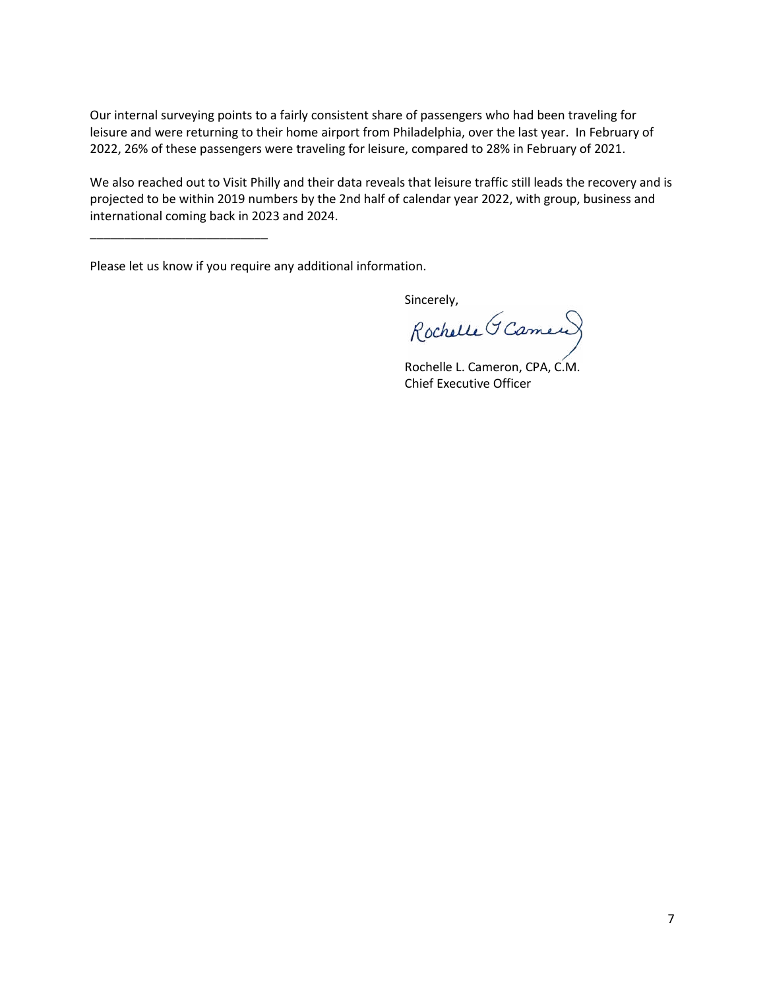Our internal surveying points to a fairly consistent share of passengers who had been traveling for leisure and were returning to their home airport from Philadelphia, over the last year. In February of 2022, 26% of these passengers were traveling for leisure, compared to 28% in February of 2021.

We also reached out to Visit Philly and their data reveals that leisure traffic still leads the recovery and is projected to be within 2019 numbers by the 2nd half of calendar year 2022, with group, business and international coming back in 2023 and 2024.

Please let us know if you require any additional information.

\_\_\_\_\_\_\_\_\_\_\_\_\_\_\_\_\_\_\_\_\_\_\_\_\_\_

Sincerely,

Rochelle L. Cameron, CPA, C.M. Chief Executive Officer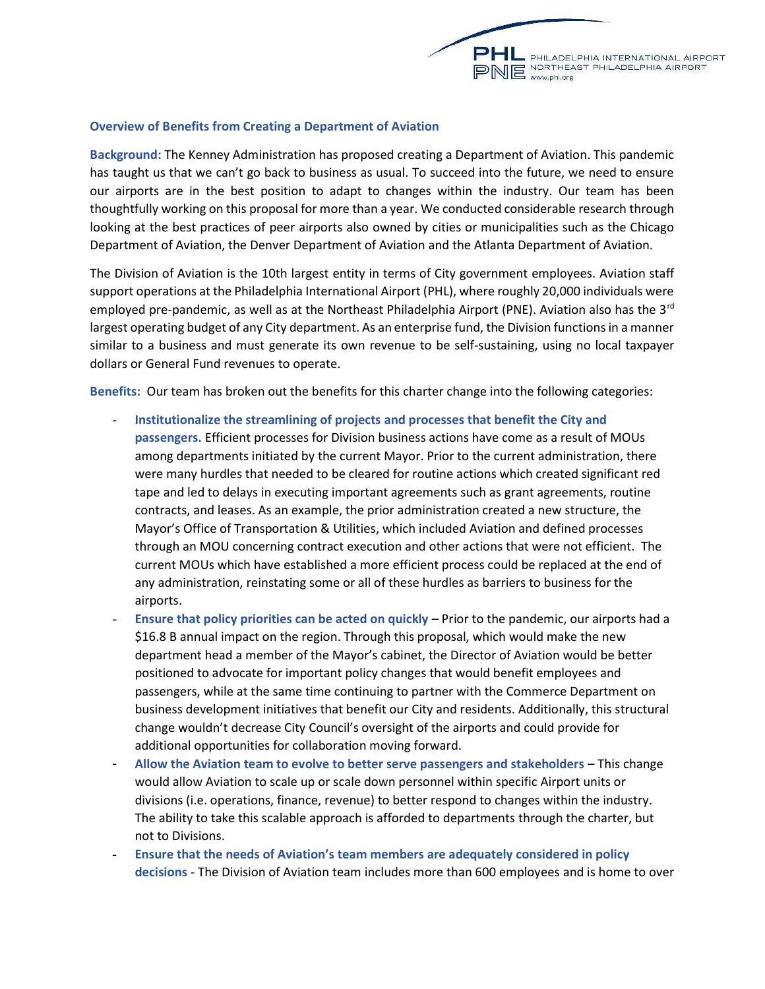

#### Overview of Benefits from Creating a Department of Aviation

Background: The Kenney Administration has proposed creating a Department of Aviation. This pandemic has taught us that we can't go back to business as usual. To succeed into the future, we need to ensure our airports are in the best position to adapt to changes within the industry. Our team has been thoughtfully working on this proposal for more than a year. We conducted considerable research through looking at the best practices of peer airports also owned by cities or municipalities such as the Chicago Department of Aviation, the Denver Department of Aviation and the Atlanta Department of Aviation.

The Division of Aviation is the 10th largest entity in terms of City government employees. Aviation staff support operations at the Philadelphia International Airport (PHL), where roughly 20,000 individuals were employed pre-pandemic, as well as at the Northeast Philadelphia Airport (PNE). Aviation also has the 3<sup>rd</sup> largest operating budget of any City department. As an enterprise fund, the Division functions in a manner similar to a business and must generate its own revenue to be self-sustaining, using no local taxpayer dollars or General Fund revenues to operate.

Benefits: Our team has broken out the benefits for this charter change into the following categories:

- Institutionalize the streamlining of projects and processes that benefit the City and passengers. Efficient processes for Division business actions have come as a result of MOUs among departments initiated by the current Mayor. Prior to the current administration, there were many hurdles that needed to be cleared for routine actions which created significant red tape and led to delays in executing important agreements such as grant agreements, routine contracts, and leases. As an example, the prior administration created a new structure, the Mayor's Office of Transportation & Utilities, which included Aviation and defined processes through an MOU concerning contract execution and other actions that were not efficient. The current MOUs which have established a more efficient process could be replaced at the end of any administration, reinstating some or all of these hurdles as barriers to business for the airports.
- Ensure that policy priorities can be acted on quickly Prior to the pandemic, our airports had a \$16.8 B annual impact on the region. Through this proposal, which would make the new department head a member of the Mayor's cabinet, the Director of Aviation would be better positioned to advocate for important policy changes that would benefit employees and passengers, while at the same time continuing to partner with the Commerce Department on business development initiatives that benefit our City and residents. Additionally, this structural change wouldn't decrease City Council's oversight of the airports and could provide for additional opportunities for collaboration moving forward.
- Allow the Aviation team to evolve to better serve passengers and stakeholders This change would allow Aviation to scale up or scale down personnel within specific Airport units or divisions (i.e. operations, finance, revenue) to better respond to changes within the industry. The ability to take this scalable approach is afforded to departments through the charter, but not to Divisions.
- Ensure that the needs of Aviation's team members are adequately considered in policy decisions - The Division of Aviation team includes more than 600 employees and is home to over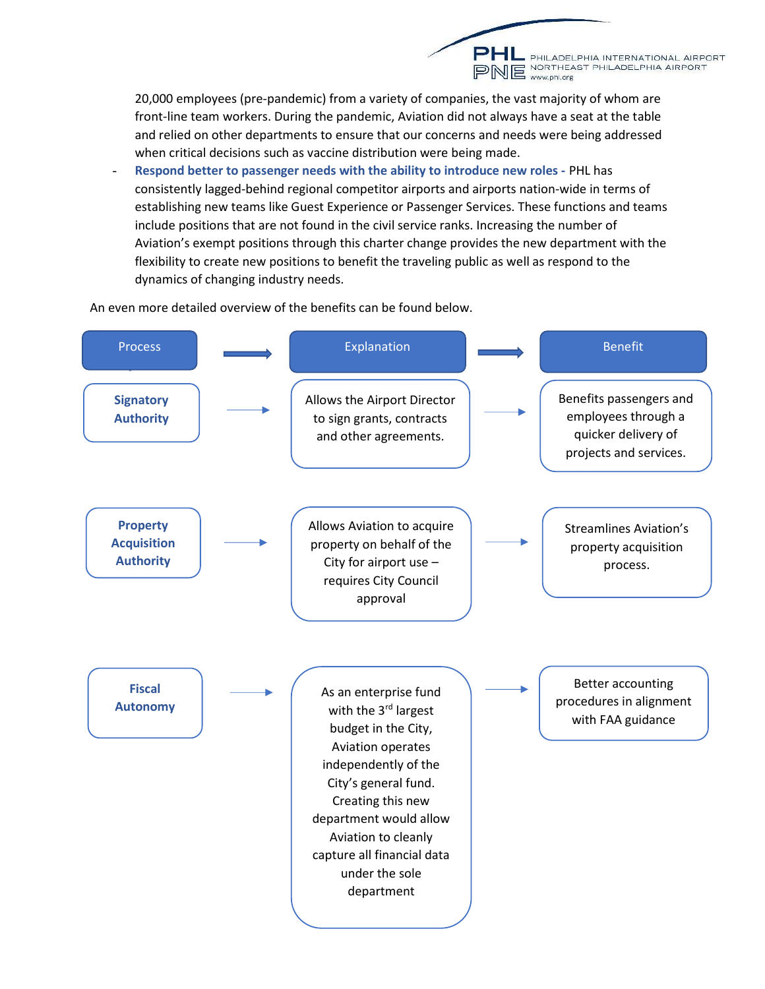20,000 employees (pre-pandemic) from a variety of companies, the vast majority of whom are front-line team workers. During the pandemic, Aviation did not always have a seat at the table and relied on other departments to ensure that our concerns and needs were being addressed when critical decisions such as vaccine distribution were being made.

PHL PHILADELPHIA INTERNATIONAL AIRPORT<br>PNE <sup>NORTHEAST PHILADELPHIA AIRPORT</sup>

Respond better to passenger needs with the ability to introduce new roles - PHL has consistently lagged-behind regional competitor airports and airports nation-wide in terms of establishing new teams like Guest Experience or Passenger Services. These functions and teams include positions that are not found in the civil service ranks. Increasing the number of Aviation's exempt positions through this charter change provides the new department with the flexibility to create new positions to benefit the traveling public as well as respond to the dynamics of changing industry needs.

An even more detailed overview of the benefits can be found below.

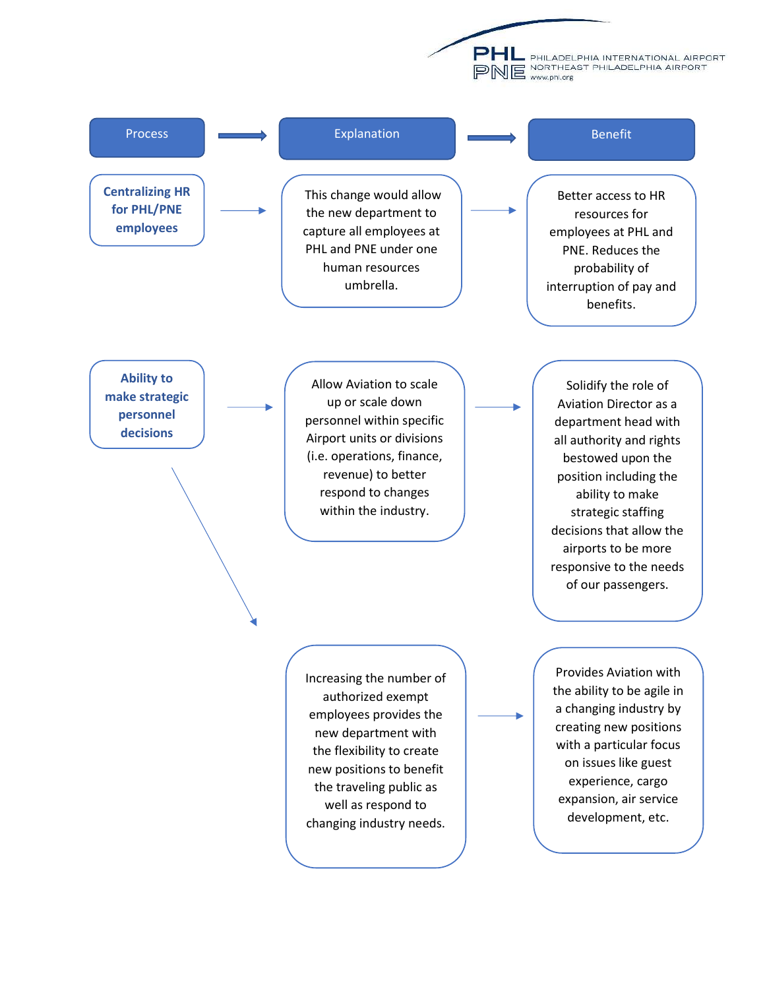**E** PHILADELPHIA INTERNATIONAL AIRPORT PNE WARTHEAST PHILADELPHIA AIRPORT

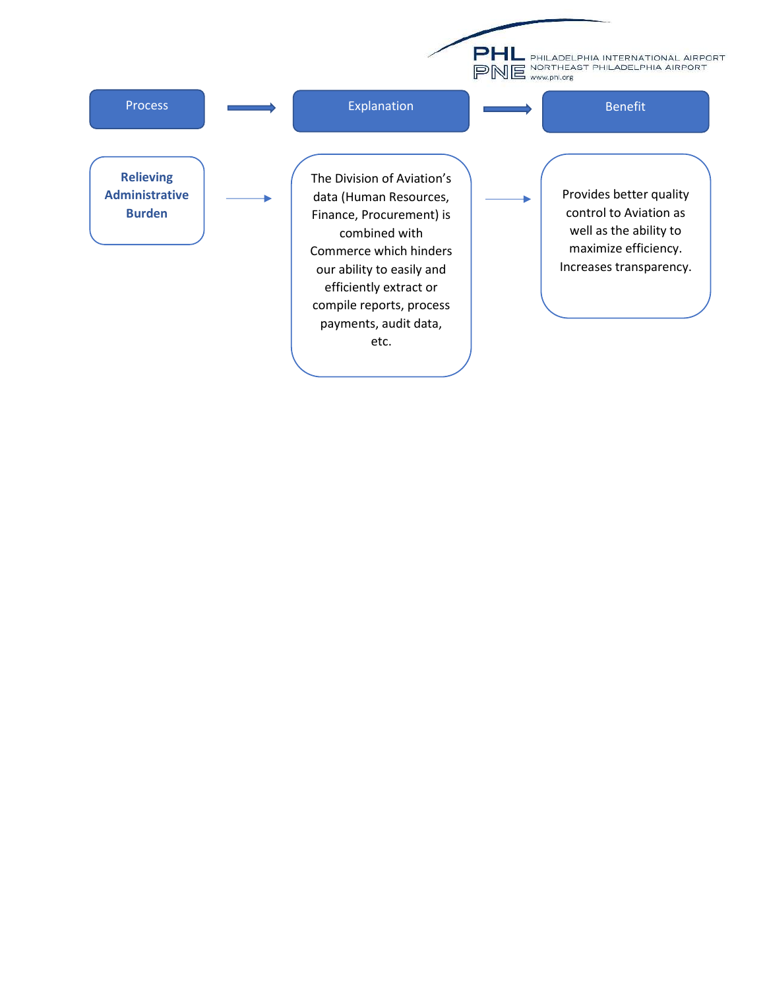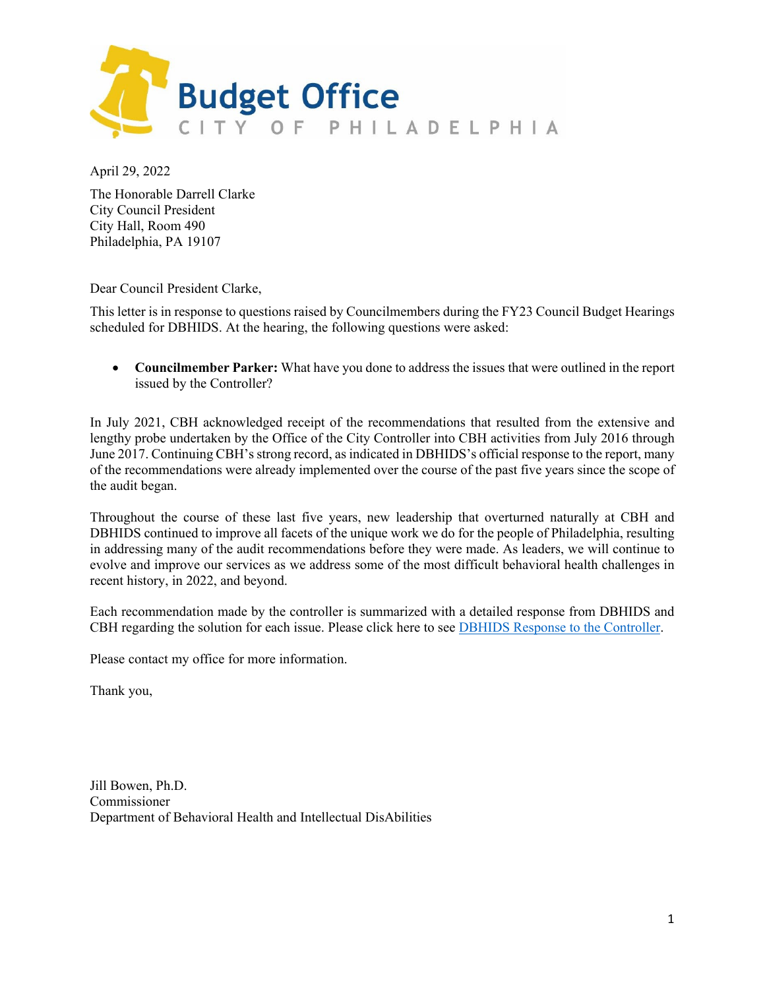

April 29, 2022

The Honorable Darrell Clarke City Council President City Hall, Room 490 Philadelphia, PA 19107

Dear Council President Clarke,

This letter is in response to questions raised by Councilmembers during the FY23 Council Budget Hearings scheduled for DBHIDS. At the hearing, the following questions were asked:

• **Councilmember Parker:** What have you done to address the issues that were outlined in the report issued by the Controller?

In July 2021, CBH acknowledged receipt of the recommendations that resulted from the extensive and lengthy probe undertaken by the Office of the City Controller into CBH activities from July 2016 through June 2017. Continuing CBH's strong record, as indicated in DBHIDS's official response to the report, many of the recommendations were already implemented over the course of the past five years since the scope of the audit began.

Throughout the course of these last five years, new leadership that overturned naturally at CBH and DBHIDS continued to improve all facets of the unique work we do for the people of Philadelphia, resulting in addressing many of the audit recommendations before they were made. As leaders, we will continue to evolve and improve our services as we address some of the most difficult behavioral health challenges in recent history, in 2022, and beyond.

Each recommendation made by the controller is summarized with a detailed response from DBHIDS and CBH regarding the solution for each issue. Please click here to see [DBHIDS Response to the Controller.](https://dbhids.org/response-to-the-city-controllers-audit/)

Please contact my office for more information.

Thank you,

Jill Bowen, Ph.D. Commissioner Department of Behavioral Health and Intellectual DisAbilities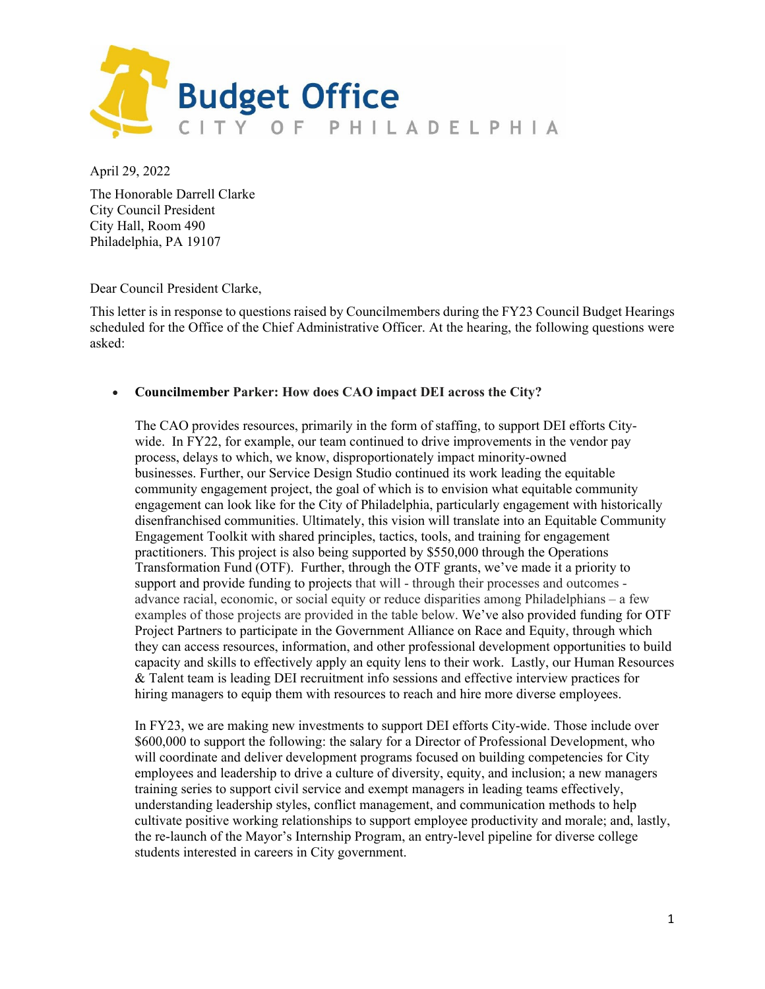

April 29, 2022

The Honorable Darrell Clarke City Council President City Hall, Room 490 Philadelphia, PA 19107

Dear Council President Clarke,

This letter is in response to questions raised by Councilmembers during the FY23 Council Budget Hearings scheduled for the Office of the Chief Administrative Officer. At the hearing, the following questions were asked:

#### • **Councilmember Parker: How does CAO impact DEI across the City?**

The CAO provides resources, primarily in the form of staffing, to support DEI efforts Citywide. In FY22, for example, our team continued to drive improvements in the vendor pay process, delays to which, we know, disproportionately impact minority-owned businesses. Further, our Service Design Studio continued its work leading the equitable community engagement project, the goal of which is to envision what equitable community engagement can look like for the City of Philadelphia, particularly engagement with historically disenfranchised communities. Ultimately, this vision will translate into an Equitable Community Engagement Toolkit with shared principles, tactics, tools, and training for engagement practitioners. This project is also being supported by \$550,000 through the Operations Transformation Fund (OTF). Further, through the OTF grants, we've made it a priority to support and provide funding to projects that will - through their processes and outcomes advance racial, economic, or social equity or reduce disparities among Philadelphians – a few examples of those projects are provided in the table below. We've also provided funding for OTF Project Partners to participate in the Government Alliance on Race and Equity, through which they can access resources, information, and other professional development opportunities to build capacity and skills to effectively apply an equity lens to their work. Lastly, our Human Resources & Talent team is leading DEI recruitment info sessions and effective interview practices for hiring managers to equip them with resources to reach and hire more diverse employees.

In FY23, we are making new investments to support DEI efforts City-wide. Those include over \$600,000 to support the following: the salary for a Director of Professional Development, who will coordinate and deliver development programs focused on building competencies for City employees and leadership to drive a culture of diversity, equity, and inclusion; a new managers training series to support civil service and exempt managers in leading teams effectively, understanding leadership styles, conflict management, and communication methods to help cultivate positive working relationships to support employee productivity and morale; and, lastly, the re-launch of the Mayor's Internship Program, an entry-level pipeline for diverse college students interested in careers in City government.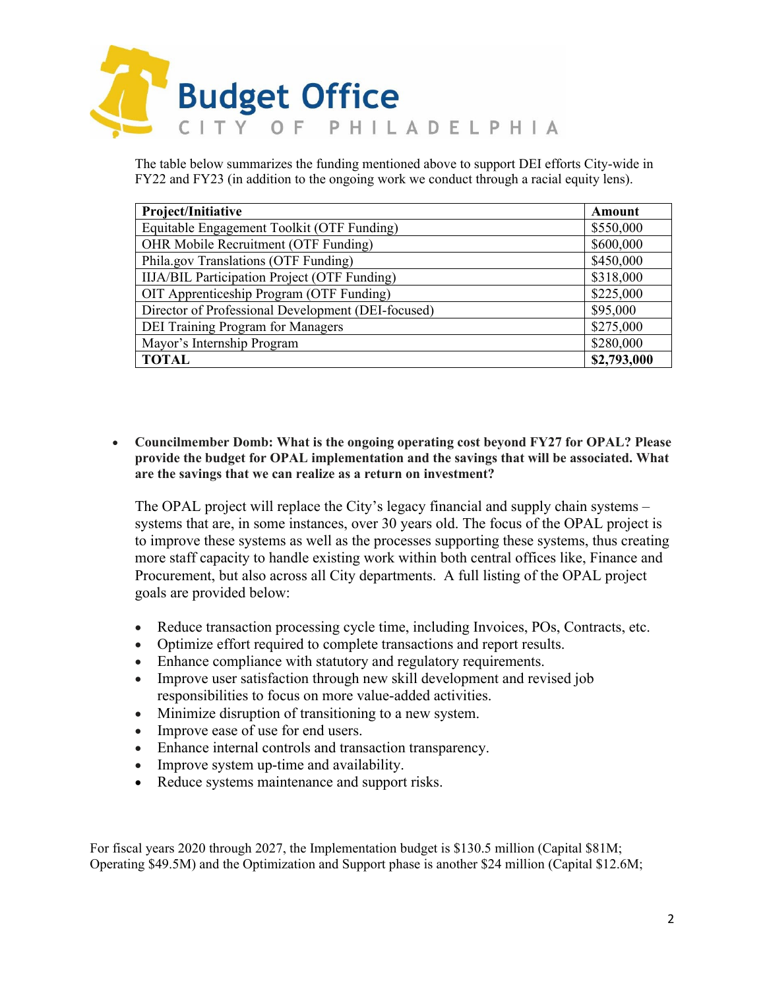

The table below summarizes the funding mentioned above to support DEI efforts City-wide in FY22 and FY23 (in addition to the ongoing work we conduct through a racial equity lens).

| Project/Initiative                                  | Amount      |
|-----------------------------------------------------|-------------|
| Equitable Engagement Toolkit (OTF Funding)          | \$550,000   |
| OHR Mobile Recruitment (OTF Funding)                | \$600,000   |
| Phila.gov Translations (OTF Funding)                | \$450,000   |
| <b>IIJA/BIL Participation Project (OTF Funding)</b> | \$318,000   |
| OIT Apprenticeship Program (OTF Funding)            | \$225,000   |
| Director of Professional Development (DEI-focused)  | \$95,000    |
| DEI Training Program for Managers                   | \$275,000   |
| Mayor's Internship Program                          | \$280,000   |
| <b>TOTAL</b>                                        | \$2,793,000 |

• **Councilmember Domb: What is the ongoing operating cost beyond FY27 for OPAL? Please provide the budget for OPAL implementation and the savings that will be associated. What are the savings that we can realize as a return on investment?**

The OPAL project will replace the City's legacy financial and supply chain systems – systems that are, in some instances, over 30 years old. The focus of the OPAL project is to improve these systems as well as the processes supporting these systems, thus creating more staff capacity to handle existing work within both central offices like, Finance and Procurement, but also across all City departments. A full listing of the OPAL project goals are provided below:

- Reduce transaction processing cycle time, including Invoices, POs, Contracts, etc.
- Optimize effort required to complete transactions and report results.
- Enhance compliance with statutory and regulatory requirements.
- Improve user satisfaction through new skill development and revised job responsibilities to focus on more value-added activities.
- Minimize disruption of transitioning to a new system.
- Improve ease of use for end users.
- Enhance internal controls and transaction transparency.
- Improve system up-time and availability.
- Reduce systems maintenance and support risks.

For fiscal years 2020 through 2027, the Implementation budget is \$130.5 million (Capital \$81M; Operating \$49.5M) and the Optimization and Support phase is another \$24 million (Capital \$12.6M;